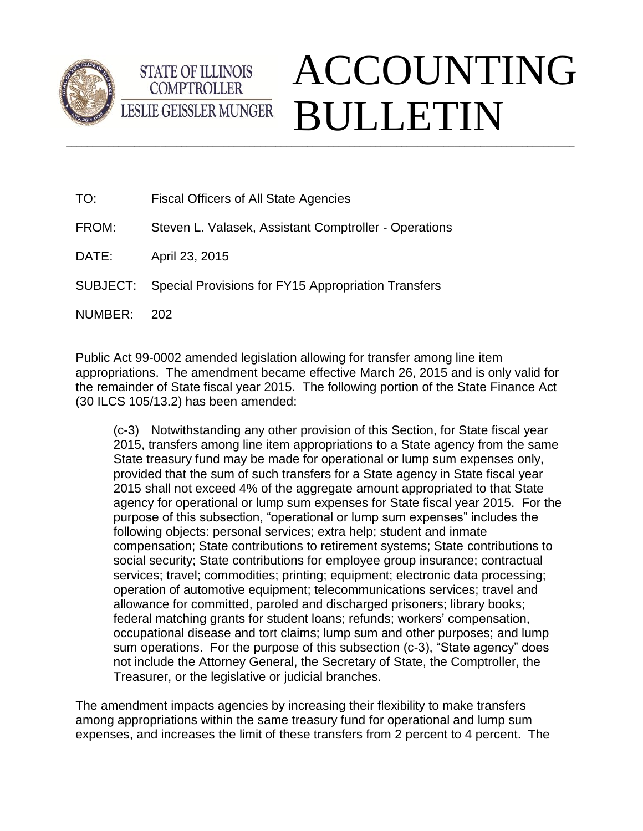



## $\_$  ,  $\_$  ,  $\_$  ,  $\_$  ,  $\_$  ,  $\_$  ,  $\_$  ,  $\_$  ,  $\_$  ,  $\_$  ,  $\_$  ,  $\_$  ,  $\_$  ,  $\_$  ,  $\_$  ,  $\_$  ,  $\_$  ,  $\_$  ,  $\_$  ,  $\_$  ,  $\_$  ,  $\_$  ,  $\_$  ,  $\_$  ,  $\_$  ,  $\_$  ,  $\_$  ,  $\_$  ,  $\_$  ,  $\_$  ,  $\_$  ,  $\_$  ,  $\_$  ,  $\_$  ,  $\_$  ,  $\_$  ,  $\_$  , ACCOUNTING BULLETIN

| <b>Fiscal Officers of All State Agencies</b> |
|----------------------------------------------|
|                                              |

- FROM: Steven L. Valasek, Assistant Comptroller Operations
- DATE: April 23, 2015

SUBJECT: Special Provisions for FY15 Appropriation Transfers

NUMBER: 202

Public Act 99-0002 amended legislation allowing for transfer among line item appropriations. The amendment became effective March 26, 2015 and is only valid for the remainder of State fiscal year 2015. The following portion of the State Finance Act (30 ILCS 105/13.2) has been amended:

(c-3) Notwithstanding any other provision of this Section, for State fiscal year 2015, transfers among line item appropriations to a State agency from the same State treasury fund may be made for operational or lump sum expenses only, provided that the sum of such transfers for a State agency in State fiscal year 2015 shall not exceed 4% of the aggregate amount appropriated to that State agency for operational or lump sum expenses for State fiscal year 2015. For the purpose of this subsection, "operational or lump sum expenses" includes the following objects: personal services; extra help; student and inmate compensation; State contributions to retirement systems; State contributions to social security; State contributions for employee group insurance; contractual services; travel; commodities; printing; equipment; electronic data processing; operation of automotive equipment; telecommunications services; travel and allowance for committed, paroled and discharged prisoners; library books; federal matching grants for student loans; refunds; workers' compensation, occupational disease and tort claims; lump sum and other purposes; and lump sum operations. For the purpose of this subsection (c-3), "State agency" does not include the Attorney General, the Secretary of State, the Comptroller, the Treasurer, or the legislative or judicial branches.

The amendment impacts agencies by increasing their flexibility to make transfers among appropriations within the same treasury fund for operational and lump sum expenses, and increases the limit of these transfers from 2 percent to 4 percent. The